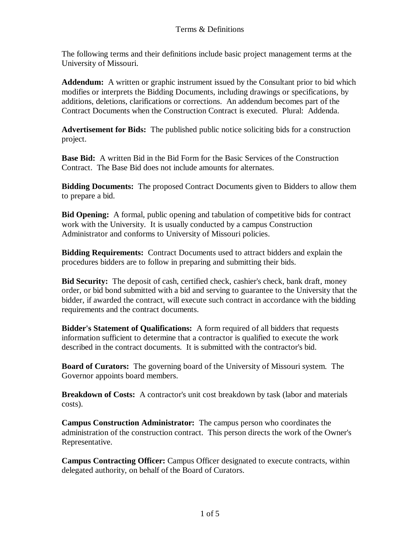The following terms and their definitions include basic project management terms at the University of Missouri.

**Addendum:** A written or graphic instrument issued by the Consultant prior to bid which modifies or interprets the Bidding Documents, including drawings or specifications, by additions, deletions, clarifications or corrections. An addendum becomes part of the Contract Documents when the Construction Contract is executed. Plural: Addenda.

**Advertisement for Bids:** The published public notice soliciting bids for a construction project.

**Base Bid:** A written Bid in the Bid Form for the Basic Services of the Construction Contract. The Base Bid does not include amounts for alternates.

**Bidding Documents:** The proposed Contract Documents given to Bidders to allow them to prepare a bid.

**Bid Opening:** A formal, public opening and tabulation of competitive bids for contract work with the University. It is usually conducted by a campus Construction Administrator and conforms to University of Missouri policies.

**Bidding Requirements:** Contract Documents used to attract bidders and explain the procedures bidders are to follow in preparing and submitting their bids.

**Bid Security:** The deposit of cash, certified check, cashier's check, bank draft, money order, or bid bond submitted with a bid and serving to guarantee to the University that the bidder, if awarded the contract, will execute such contract in accordance with the bidding requirements and the contract documents.

**Bidder's Statement of Qualifications:** A form required of all bidders that requests information sufficient to determine that a contractor is qualified to execute the work described in the contract documents. It is submitted with the contractor's bid.

**Board of Curators:** The governing board of the University of Missouri system. The Governor appoints board members.

**Breakdown of Costs:** A contractor's unit cost breakdown by task (labor and materials costs).

**Campus Construction Administrator:** The campus person who coordinates the administration of the construction contract. This person directs the work of the Owner's Representative.

**Campus Contracting Officer:** Campus Officer designated to execute contracts, within delegated authority, on behalf of the Board of Curators.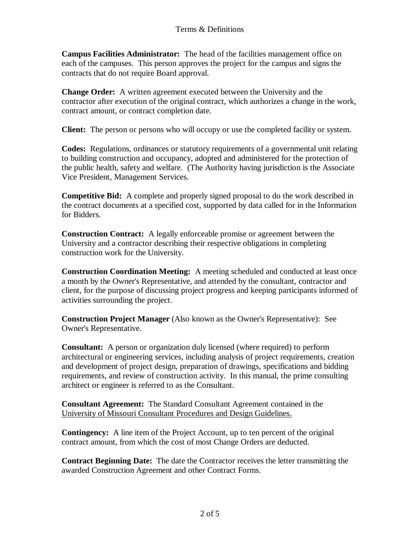**Campus Facilities Administrator:** The head of the facilities management office on each of the campuses. This person approves the project for the campus and signs the contracts that do not require Board approval.

**Change Order:** A written agreement executed between the University and the contractor after execution of the original contract, which authorizes a change in the work, contract amount, or contract completion date.

**Client:** The person or persons who will occupy or use the completed facility or system.

**Codes:** Regulations, ordinances or statutory requirements of a governmental unit relating to building construction and occupancy, adopted and administered for the protection of the public health, safety and welfare. (The Authority having jurisdiction is the Associate Vice President, Management Services.

**Competitive Bid:** A complete and properly signed proposal to do the work described in the contract documents at a specified cost, supported by data called for in the Information for Bidders.

**Construction Contract:** A legally enforceable promise or agreement between the University and a contractor describing their respective obligations in completing construction work for the University.

**Construction Coordination Meeting:** A meeting scheduled and conducted at least once a month by the Owner's Representative, and attended by the consultant, contractor and client, for the purpose of discussing project progress and keeping participants informed of activities surrounding the project.

**Construction Project Manager** (Also known as the Owner's Representative): See Owner's Representative.

**Consultant:** A person or organization duly licensed (where required) to perform architectural or engineering services, including analysis of project requirements, creation and development of project design, preparation of drawings, specifications and bidding requirements, and review of construction activity. In this manual, the prime consulting architect or engineer is referred to as the Consultant.

**Consultant Agreement:** The Standard Consultant Agreement contained in the University of Missouri Consultant Procedures and Design Guidelines.

**Contingency:** A line item of the Project Account, up to ten percent of the original contract amount, from which the cost of most Change Orders are deducted.

**Contract Beginning Date:** The date the Contractor receives the letter transmitting the awarded Construction Agreement and other Contract Forms.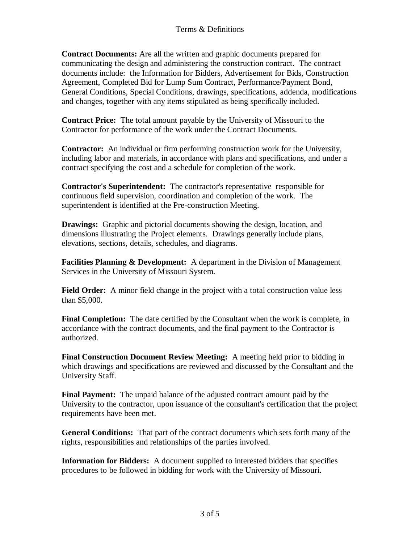**Contract Documents:** Are all the written and graphic documents prepared for communicating the design and administering the construction contract. The contract documents include: the Information for Bidders, Advertisement for Bids, Construction Agreement, Completed Bid for Lump Sum Contract, Performance/Payment Bond, General Conditions, Special Conditions, drawings, specifications, addenda, modifications and changes, together with any items stipulated as being specifically included.

**Contract Price:** The total amount payable by the University of Missouri to the Contractor for performance of the work under the Contract Documents.

**Contractor:** An individual or firm performing construction work for the University, including labor and materials, in accordance with plans and specifications, and under a contract specifying the cost and a schedule for completion of the work.

**Contractor's Superintendent:** The contractor's representative responsible for continuous field supervision, coordination and completion of the work. The superintendent is identified at the Pre-construction Meeting.

**Drawings:** Graphic and pictorial documents showing the design, location, and dimensions illustrating the Project elements. Drawings generally include plans, elevations, sections, details, schedules, and diagrams.

**Facilities Planning & Development:** A department in the Division of Management Services in the University of Missouri System.

Field Order: A minor field change in the project with a total construction value less than \$5,000.

**Final Completion:** The date certified by the Consultant when the work is complete, in accordance with the contract documents, and the final payment to the Contractor is authorized.

**Final Construction Document Review Meeting:** A meeting held prior to bidding in which drawings and specifications are reviewed and discussed by the Consultant and the University Staff.

**Final Payment:** The unpaid balance of the adjusted contract amount paid by the University to the contractor, upon issuance of the consultant's certification that the project requirements have been met.

**General Conditions:** That part of the contract documents which sets forth many of the rights, responsibilities and relationships of the parties involved.

**Information for Bidders:** A document supplied to interested bidders that specifies procedures to be followed in bidding for work with the University of Missouri.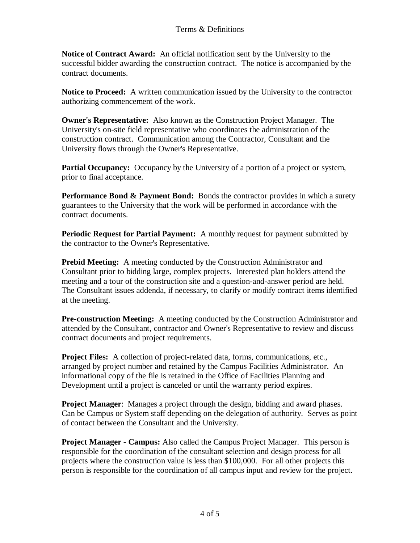**Notice of Contract Award:** An official notification sent by the University to the successful bidder awarding the construction contract. The notice is accompanied by the contract documents.

**Notice to Proceed:** A written communication issued by the University to the contractor authorizing commencement of the work.

**Owner's Representative:** Also known as the Construction Project Manager. The University's on-site field representative who coordinates the administration of the construction contract. Communication among the Contractor, Consultant and the University flows through the Owner's Representative.

**Partial Occupancy:** Occupancy by the University of a portion of a project or system, prior to final acceptance.

**Performance Bond & Payment Bond:** Bonds the contractor provides in which a surety guarantees to the University that the work will be performed in accordance with the contract documents.

**Periodic Request for Partial Payment:** A monthly request for payment submitted by the contractor to the Owner's Representative.

**Prebid Meeting:** A meeting conducted by the Construction Administrator and Consultant prior to bidding large, complex projects. Interested plan holders attend the meeting and a tour of the construction site and a question-and-answer period are held. The Consultant issues addenda, if necessary, to clarify or modify contract items identified at the meeting.

**Pre-construction Meeting:** A meeting conducted by the Construction Administrator and attended by the Consultant, contractor and Owner's Representative to review and discuss contract documents and project requirements.

**Project Files:** A collection of project-related data, forms, communications, etc., arranged by project number and retained by the Campus Facilities Administrator. An informational copy of the file is retained in the Office of Facilities Planning and Development until a project is canceled or until the warranty period expires.

**Project Manager**: Manages a project through the design, bidding and award phases. Can be Campus or System staff depending on the delegation of authority. Serves as point of contact between the Consultant and the University.

**Project Manager - Campus:** Also called the Campus Project Manager. This person is responsible for the coordination of the consultant selection and design process for all projects where the construction value is less than \$100,000. For all other projects this person is responsible for the coordination of all campus input and review for the project.